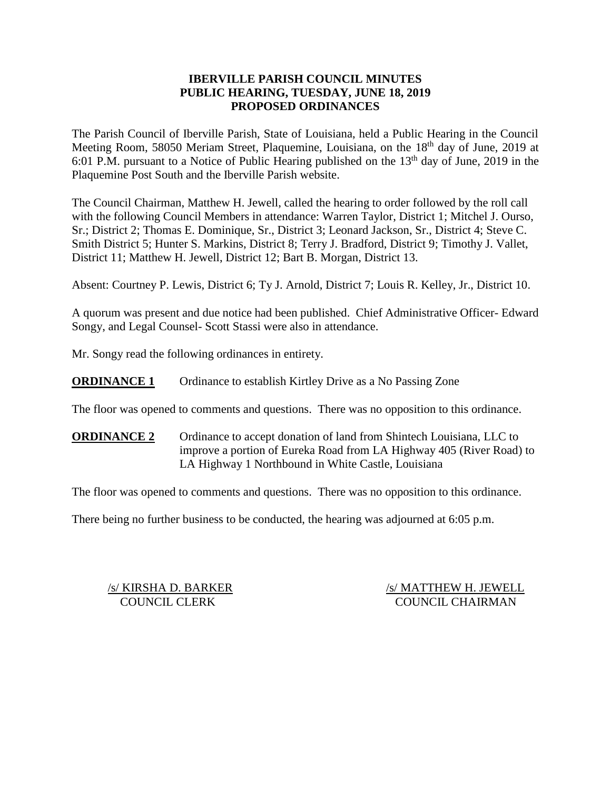## **IBERVILLE PARISH COUNCIL MINUTES PUBLIC HEARING, TUESDAY, JUNE 18, 2019 PROPOSED ORDINANCES**

The Parish Council of Iberville Parish, State of Louisiana, held a Public Hearing in the Council Meeting Room, 58050 Meriam Street, Plaquemine, Louisiana, on the 18<sup>th</sup> day of June, 2019 at 6:01 P.M. pursuant to a Notice of Public Hearing published on the  $13<sup>th</sup>$  day of June, 2019 in the Plaquemine Post South and the Iberville Parish website.

The Council Chairman, Matthew H. Jewell, called the hearing to order followed by the roll call with the following Council Members in attendance: Warren Taylor, District 1; Mitchel J. Ourso, Sr.; District 2; Thomas E. Dominique, Sr., District 3; Leonard Jackson, Sr., District 4; Steve C. Smith District 5; Hunter S. Markins, District 8; Terry J. Bradford, District 9; Timothy J. Vallet, District 11; Matthew H. Jewell, District 12; Bart B. Morgan, District 13.

Absent: Courtney P. Lewis, District 6; Ty J. Arnold, District 7; Louis R. Kelley, Jr., District 10.

A quorum was present and due notice had been published. Chief Administrative Officer- Edward Songy, and Legal Counsel- Scott Stassi were also in attendance.

Mr. Songy read the following ordinances in entirety.

**ORDINANCE 1** Ordinance to establish Kirtley Drive as a No Passing Zone

The floor was opened to comments and questions. There was no opposition to this ordinance.

**ORDINANCE 2** Ordinance to accept donation of land from Shintech Louisiana, LLC to improve a portion of Eureka Road from LA Highway 405 (River Road) to LA Highway 1 Northbound in White Castle, Louisiana

The floor was opened to comments and questions. There was no opposition to this ordinance.

There being no further business to be conducted, the hearing was adjourned at 6:05 p.m.

/s/ KIRSHA D. BARKER /s/ MATTHEW H. JEWELL COUNCIL CLERK COUNCIL CHAIRMAN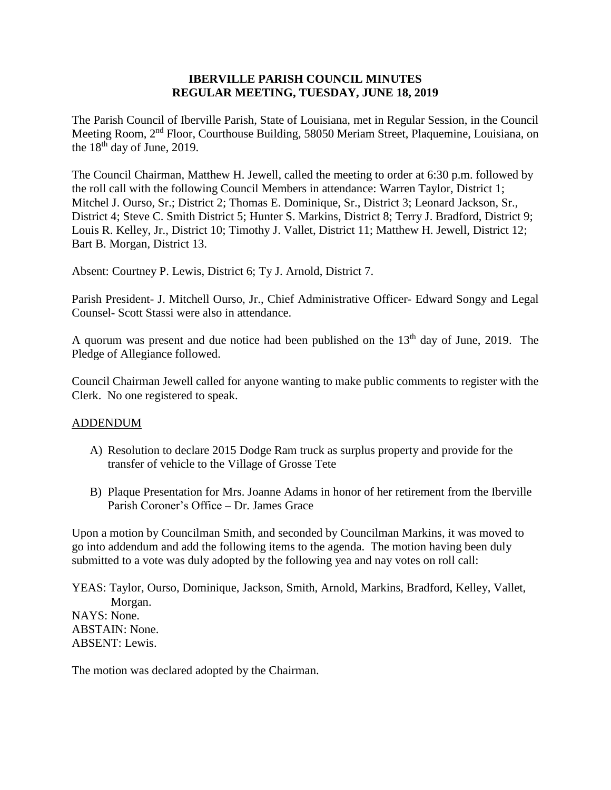### **IBERVILLE PARISH COUNCIL MINUTES REGULAR MEETING, TUESDAY, JUNE 18, 2019**

The Parish Council of Iberville Parish, State of Louisiana, met in Regular Session, in the Council Meeting Room, 2nd Floor, Courthouse Building, 58050 Meriam Street, Plaquemine, Louisiana, on the  $18<sup>th</sup>$  day of June, 2019.

The Council Chairman, Matthew H. Jewell, called the meeting to order at 6:30 p.m. followed by the roll call with the following Council Members in attendance: Warren Taylor, District 1; Mitchel J. Ourso, Sr.; District 2; Thomas E. Dominique, Sr., District 3; Leonard Jackson, Sr., District 4; Steve C. Smith District 5; Hunter S. Markins, District 8; Terry J. Bradford, District 9; Louis R. Kelley, Jr., District 10; Timothy J. Vallet, District 11; Matthew H. Jewell, District 12; Bart B. Morgan, District 13.

Absent: Courtney P. Lewis, District 6; Ty J. Arnold, District 7.

Parish President- J. Mitchell Ourso, Jr., Chief Administrative Officer- Edward Songy and Legal Counsel- Scott Stassi were also in attendance.

A quorum was present and due notice had been published on the  $13<sup>th</sup>$  day of June, 2019. The Pledge of Allegiance followed.

Council Chairman Jewell called for anyone wanting to make public comments to register with the Clerk. No one registered to speak.

### ADDENDUM

- A) Resolution to declare 2015 Dodge Ram truck as surplus property and provide for the transfer of vehicle to the Village of Grosse Tete
- B) Plaque Presentation for Mrs. Joanne Adams in honor of her retirement from the Iberville Parish Coroner's Office – Dr. James Grace

Upon a motion by Councilman Smith, and seconded by Councilman Markins, it was moved to go into addendum and add the following items to the agenda. The motion having been duly submitted to a vote was duly adopted by the following yea and nay votes on roll call:

YEAS: Taylor, Ourso, Dominique, Jackson, Smith, Arnold, Markins, Bradford, Kelley, Vallet, Morgan. NAYS: None. ABSTAIN: None. ABSENT: Lewis.

The motion was declared adopted by the Chairman.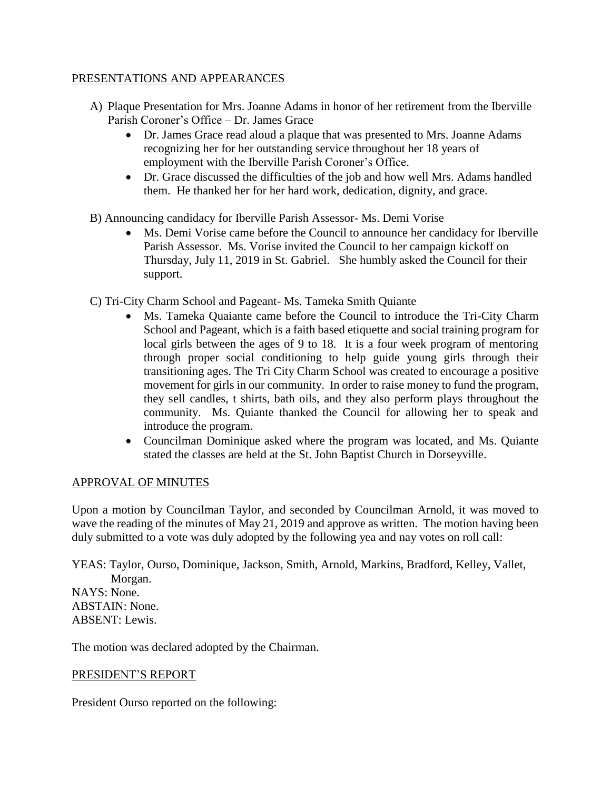## PRESENTATIONS AND APPEARANCES

- A) Plaque Presentation for Mrs. Joanne Adams in honor of her retirement from the Iberville Parish Coroner's Office – Dr. James Grace
	- Dr. James Grace read aloud a plaque that was presented to Mrs. Joanne Adams recognizing her for her outstanding service throughout her 18 years of employment with the Iberville Parish Coroner's Office.
	- Dr. Grace discussed the difficulties of the job and how well Mrs. Adams handled them. He thanked her for her hard work, dedication, dignity, and grace.
- B) Announcing candidacy for Iberville Parish Assessor- Ms. Demi Vorise
	- Ms. Demi Vorise came before the Council to announce her candidacy for Iberville Parish Assessor. Ms. Vorise invited the Council to her campaign kickoff on Thursday, July 11, 2019 in St. Gabriel. She humbly asked the Council for their support.
- C) Tri-City Charm School and Pageant- Ms. Tameka Smith Quiante
	- Ms. Tameka Quaiante came before the Council to introduce the Tri-City Charm School and Pageant, which is a faith based etiquette and social training program for local girls between the ages of 9 to 18. It is a four week program of mentoring through proper social conditioning to help guide young girls through their transitioning ages. The Tri City Charm School was created to encourage a positive movement for girls in our community. In order to raise money to fund the program, they sell candles, t shirts, bath oils, and they also perform plays throughout the community. Ms. Quiante thanked the Council for allowing her to speak and introduce the program.
	- Councilman Dominique asked where the program was located, and Ms. Quiante stated the classes are held at the St. John Baptist Church in Dorseyville.

# APPROVAL OF MINUTES

Upon a motion by Councilman Taylor, and seconded by Councilman Arnold, it was moved to wave the reading of the minutes of May 21, 2019 and approve as written. The motion having been duly submitted to a vote was duly adopted by the following yea and nay votes on roll call:

YEAS: Taylor, Ourso, Dominique, Jackson, Smith, Arnold, Markins, Bradford, Kelley, Vallet, Morgan. NAYS: None. ABSTAIN: None. ABSENT: Lewis.

The motion was declared adopted by the Chairman.

# PRESIDENT'S REPORT

President Ourso reported on the following: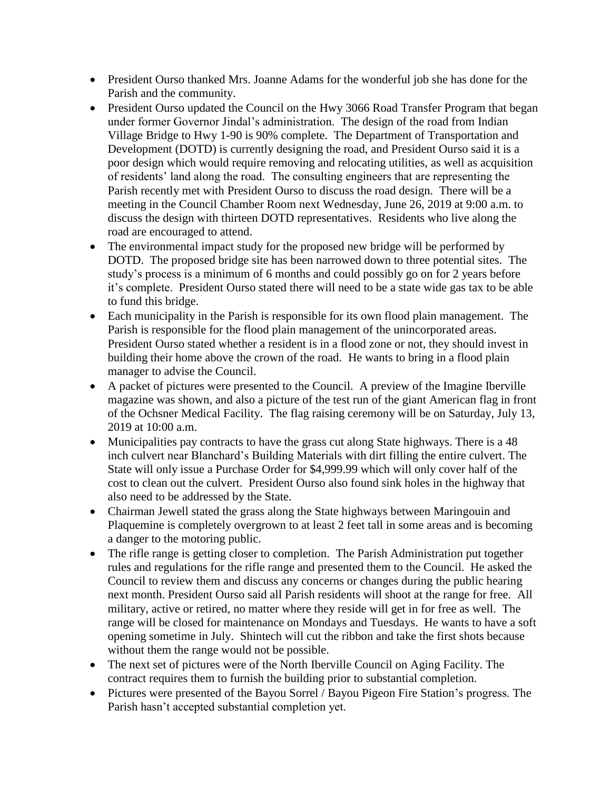- President Ourso thanked Mrs. Joanne Adams for the wonderful job she has done for the Parish and the community.
- President Ourso updated the Council on the Hwy 3066 Road Transfer Program that began under former Governor Jindal's administration. The design of the road from Indian Village Bridge to Hwy 1-90 is 90% complete. The Department of Transportation and Development (DOTD) is currently designing the road, and President Ourso said it is a poor design which would require removing and relocating utilities, as well as acquisition of residents' land along the road. The consulting engineers that are representing the Parish recently met with President Ourso to discuss the road design. There will be a meeting in the Council Chamber Room next Wednesday, June 26, 2019 at 9:00 a.m. to discuss the design with thirteen DOTD representatives. Residents who live along the road are encouraged to attend.
- The environmental impact study for the proposed new bridge will be performed by DOTD. The proposed bridge site has been narrowed down to three potential sites. The study's process is a minimum of 6 months and could possibly go on for 2 years before it's complete. President Ourso stated there will need to be a state wide gas tax to be able to fund this bridge.
- Each municipality in the Parish is responsible for its own flood plain management. The Parish is responsible for the flood plain management of the unincorporated areas. President Ourso stated whether a resident is in a flood zone or not, they should invest in building their home above the crown of the road. He wants to bring in a flood plain manager to advise the Council.
- A packet of pictures were presented to the Council. A preview of the Imagine Iberville magazine was shown, and also a picture of the test run of the giant American flag in front of the Ochsner Medical Facility. The flag raising ceremony will be on Saturday, July 13, 2019 at 10:00 a.m.
- Municipalities pay contracts to have the grass cut along State highways. There is a 48 inch culvert near Blanchard's Building Materials with dirt filling the entire culvert. The State will only issue a Purchase Order for \$4,999.99 which will only cover half of the cost to clean out the culvert. President Ourso also found sink holes in the highway that also need to be addressed by the State.
- Chairman Jewell stated the grass along the State highways between Maringouin and Plaquemine is completely overgrown to at least 2 feet tall in some areas and is becoming a danger to the motoring public.
- The rifle range is getting closer to completion. The Parish Administration put together rules and regulations for the rifle range and presented them to the Council. He asked the Council to review them and discuss any concerns or changes during the public hearing next month. President Ourso said all Parish residents will shoot at the range for free. All military, active or retired, no matter where they reside will get in for free as well. The range will be closed for maintenance on Mondays and Tuesdays. He wants to have a soft opening sometime in July. Shintech will cut the ribbon and take the first shots because without them the range would not be possible.
- The next set of pictures were of the North Iberville Council on Aging Facility. The contract requires them to furnish the building prior to substantial completion.
- Pictures were presented of the Bayou Sorrel / Bayou Pigeon Fire Station's progress. The Parish hasn't accepted substantial completion yet.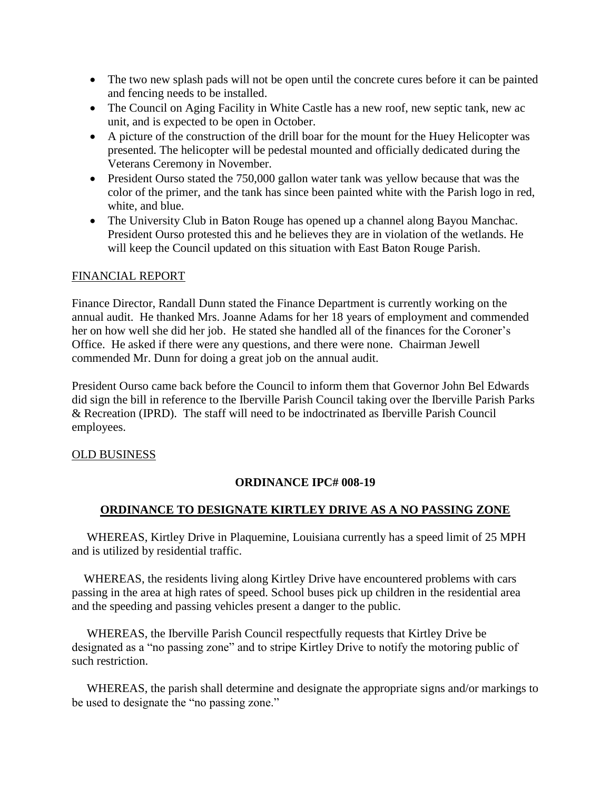- The two new splash pads will not be open until the concrete cures before it can be painted and fencing needs to be installed.
- The Council on Aging Facility in White Castle has a new roof, new septic tank, new ac unit, and is expected to be open in October.
- A picture of the construction of the drill boar for the mount for the Huey Helicopter was presented. The helicopter will be pedestal mounted and officially dedicated during the Veterans Ceremony in November.
- President Ourso stated the 750,000 gallon water tank was yellow because that was the color of the primer, and the tank has since been painted white with the Parish logo in red, white, and blue.
- The University Club in Baton Rouge has opened up a channel along Bayou Manchac. President Ourso protested this and he believes they are in violation of the wetlands. He will keep the Council updated on this situation with East Baton Rouge Parish.

### FINANCIAL REPORT

Finance Director, Randall Dunn stated the Finance Department is currently working on the annual audit. He thanked Mrs. Joanne Adams for her 18 years of employment and commended her on how well she did her job. He stated she handled all of the finances for the Coroner's Office. He asked if there were any questions, and there were none. Chairman Jewell commended Mr. Dunn for doing a great job on the annual audit.

President Ourso came back before the Council to inform them that Governor John Bel Edwards did sign the bill in reference to the Iberville Parish Council taking over the Iberville Parish Parks & Recreation (IPRD). The staff will need to be indoctrinated as Iberville Parish Council employees.

### OLD BUSINESS

# **ORDINANCE IPC# 008-19**

# **ORDINANCE TO DESIGNATE KIRTLEY DRIVE AS A NO PASSING ZONE**

 WHEREAS, Kirtley Drive in Plaquemine, Louisiana currently has a speed limit of 25 MPH and is utilized by residential traffic.

 WHEREAS, the residents living along Kirtley Drive have encountered problems with cars passing in the area at high rates of speed. School buses pick up children in the residential area and the speeding and passing vehicles present a danger to the public.

 WHEREAS, the Iberville Parish Council respectfully requests that Kirtley Drive be designated as a "no passing zone" and to stripe Kirtley Drive to notify the motoring public of such restriction.

 WHEREAS, the parish shall determine and designate the appropriate signs and/or markings to be used to designate the "no passing zone."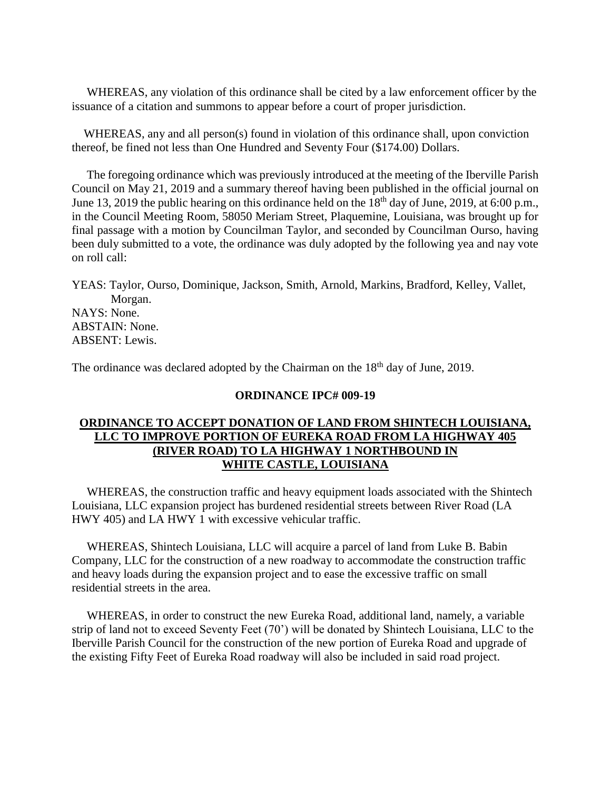WHEREAS, any violation of this ordinance shall be cited by a law enforcement officer by the issuance of a citation and summons to appear before a court of proper jurisdiction.

WHEREAS, any and all person(s) found in violation of this ordinance shall, upon conviction thereof, be fined not less than One Hundred and Seventy Four (\$174.00) Dollars.

 The foregoing ordinance which was previously introduced at the meeting of the Iberville Parish Council on May 21, 2019 and a summary thereof having been published in the official journal on June 13, 2019 the public hearing on this ordinance held on the  $18<sup>th</sup>$  day of June, 2019, at 6:00 p.m., in the Council Meeting Room, 58050 Meriam Street, Plaquemine, Louisiana, was brought up for final passage with a motion by Councilman Taylor, and seconded by Councilman Ourso, having been duly submitted to a vote, the ordinance was duly adopted by the following yea and nay vote on roll call:

YEAS: Taylor, Ourso, Dominique, Jackson, Smith, Arnold, Markins, Bradford, Kelley, Vallet, Morgan. NAYS: None. ABSTAIN: None. ABSENT: Lewis.

The ordinance was declared adopted by the Chairman on the 18<sup>th</sup> day of June, 2019.

#### **ORDINANCE IPC# 009-19**

## **ORDINANCE TO ACCEPT DONATION OF LAND FROM SHINTECH LOUISIANA, LLC TO IMPROVE PORTION OF EUREKA ROAD FROM LA HIGHWAY 405 (RIVER ROAD) TO LA HIGHWAY 1 NORTHBOUND IN WHITE CASTLE, LOUISIANA**

 WHEREAS, the construction traffic and heavy equipment loads associated with the Shintech Louisiana, LLC expansion project has burdened residential streets between River Road (LA HWY 405) and LA HWY 1 with excessive vehicular traffic.

 WHEREAS, Shintech Louisiana, LLC will acquire a parcel of land from Luke B. Babin Company, LLC for the construction of a new roadway to accommodate the construction traffic and heavy loads during the expansion project and to ease the excessive traffic on small residential streets in the area.

 WHEREAS, in order to construct the new Eureka Road, additional land, namely, a variable strip of land not to exceed Seventy Feet (70') will be donated by Shintech Louisiana, LLC to the Iberville Parish Council for the construction of the new portion of Eureka Road and upgrade of the existing Fifty Feet of Eureka Road roadway will also be included in said road project.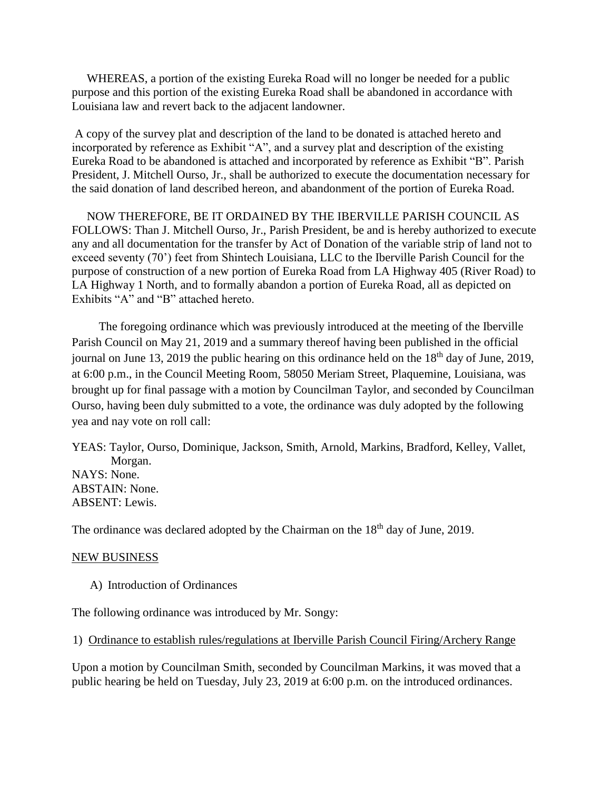WHEREAS, a portion of the existing Eureka Road will no longer be needed for a public purpose and this portion of the existing Eureka Road shall be abandoned in accordance with Louisiana law and revert back to the adjacent landowner.

A copy of the survey plat and description of the land to be donated is attached hereto and incorporated by reference as Exhibit "A", and a survey plat and description of the existing Eureka Road to be abandoned is attached and incorporated by reference as Exhibit "B". Parish President, J. Mitchell Ourso, Jr., shall be authorized to execute the documentation necessary for the said donation of land described hereon, and abandonment of the portion of Eureka Road.

 NOW THEREFORE, BE IT ORDAINED BY THE IBERVILLE PARISH COUNCIL AS FOLLOWS: Than J. Mitchell Ourso, Jr., Parish President, be and is hereby authorized to execute any and all documentation for the transfer by Act of Donation of the variable strip of land not to exceed seventy (70') feet from Shintech Louisiana, LLC to the Iberville Parish Council for the purpose of construction of a new portion of Eureka Road from LA Highway 405 (River Road) to LA Highway 1 North, and to formally abandon a portion of Eureka Road, all as depicted on Exhibits "A" and "B" attached hereto.

 The foregoing ordinance which was previously introduced at the meeting of the Iberville Parish Council on May 21, 2019 and a summary thereof having been published in the official journal on June 13, 2019 the public hearing on this ordinance held on the  $18<sup>th</sup>$  day of June, 2019, at 6:00 p.m., in the Council Meeting Room, 58050 Meriam Street, Plaquemine, Louisiana, was brought up for final passage with a motion by Councilman Taylor, and seconded by Councilman Ourso, having been duly submitted to a vote, the ordinance was duly adopted by the following yea and nay vote on roll call:

YEAS: Taylor, Ourso, Dominique, Jackson, Smith, Arnold, Markins, Bradford, Kelley, Vallet, Morgan. NAYS: None. ABSTAIN: None. ABSENT: Lewis.

The ordinance was declared adopted by the Chairman on the 18<sup>th</sup> day of June, 2019.

#### NEW BUSINESS

A) Introduction of Ordinances

The following ordinance was introduced by Mr. Songy:

1) Ordinance to establish rules/regulations at Iberville Parish Council Firing/Archery Range

Upon a motion by Councilman Smith, seconded by Councilman Markins, it was moved that a public hearing be held on Tuesday, July 23, 2019 at 6:00 p.m. on the introduced ordinances.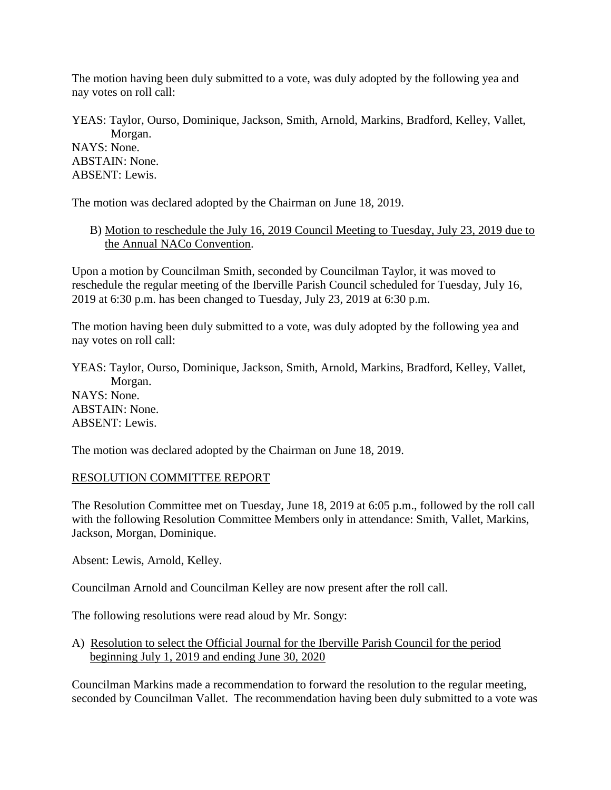The motion having been duly submitted to a vote, was duly adopted by the following yea and nay votes on roll call:

YEAS: Taylor, Ourso, Dominique, Jackson, Smith, Arnold, Markins, Bradford, Kelley, Vallet, Morgan. NAYS: None. ABSTAIN: None. ABSENT: Lewis.

The motion was declared adopted by the Chairman on June 18, 2019.

B) Motion to reschedule the July 16, 2019 Council Meeting to Tuesday, July 23, 2019 due to the Annual NACo Convention.

Upon a motion by Councilman Smith, seconded by Councilman Taylor, it was moved to reschedule the regular meeting of the Iberville Parish Council scheduled for Tuesday, July 16, 2019 at 6:30 p.m. has been changed to Tuesday, July 23, 2019 at 6:30 p.m.

The motion having been duly submitted to a vote, was duly adopted by the following yea and nay votes on roll call:

YEAS: Taylor, Ourso, Dominique, Jackson, Smith, Arnold, Markins, Bradford, Kelley, Vallet, Morgan. NAYS: None. ABSTAIN: None. ABSENT: Lewis.

The motion was declared adopted by the Chairman on June 18, 2019.

# RESOLUTION COMMITTEE REPORT

The Resolution Committee met on Tuesday, June 18, 2019 at 6:05 p.m., followed by the roll call with the following Resolution Committee Members only in attendance: Smith, Vallet, Markins, Jackson, Morgan, Dominique.

Absent: Lewis, Arnold, Kelley.

Councilman Arnold and Councilman Kelley are now present after the roll call.

The following resolutions were read aloud by Mr. Songy:

A) Resolution to select the Official Journal for the Iberville Parish Council for the period beginning July 1, 2019 and ending June 30, 2020

Councilman Markins made a recommendation to forward the resolution to the regular meeting, seconded by Councilman Vallet. The recommendation having been duly submitted to a vote was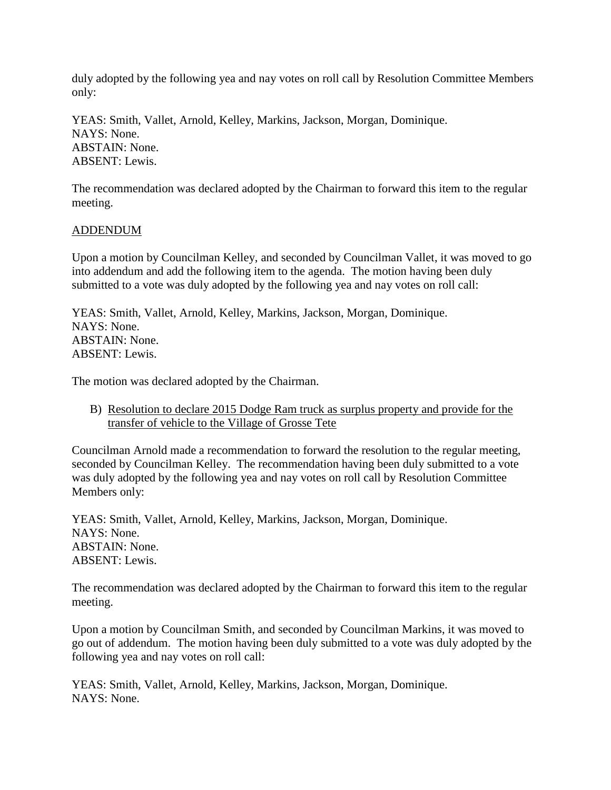duly adopted by the following yea and nay votes on roll call by Resolution Committee Members only:

YEAS: Smith, Vallet, Arnold, Kelley, Markins, Jackson, Morgan, Dominique. NAYS: None. ABSTAIN: None. ABSENT: Lewis.

The recommendation was declared adopted by the Chairman to forward this item to the regular meeting.

### ADDENDUM

Upon a motion by Councilman Kelley, and seconded by Councilman Vallet, it was moved to go into addendum and add the following item to the agenda. The motion having been duly submitted to a vote was duly adopted by the following yea and nay votes on roll call:

YEAS: Smith, Vallet, Arnold, Kelley, Markins, Jackson, Morgan, Dominique. NAYS: None. ABSTAIN: None. ABSENT: Lewis.

The motion was declared adopted by the Chairman.

B) Resolution to declare 2015 Dodge Ram truck as surplus property and provide for the transfer of vehicle to the Village of Grosse Tete

Councilman Arnold made a recommendation to forward the resolution to the regular meeting, seconded by Councilman Kelley. The recommendation having been duly submitted to a vote was duly adopted by the following yea and nay votes on roll call by Resolution Committee Members only:

YEAS: Smith, Vallet, Arnold, Kelley, Markins, Jackson, Morgan, Dominique. NAYS: None. ABSTAIN: None. ABSENT: Lewis.

The recommendation was declared adopted by the Chairman to forward this item to the regular meeting.

Upon a motion by Councilman Smith, and seconded by Councilman Markins, it was moved to go out of addendum. The motion having been duly submitted to a vote was duly adopted by the following yea and nay votes on roll call:

YEAS: Smith, Vallet, Arnold, Kelley, Markins, Jackson, Morgan, Dominique. NAYS: None.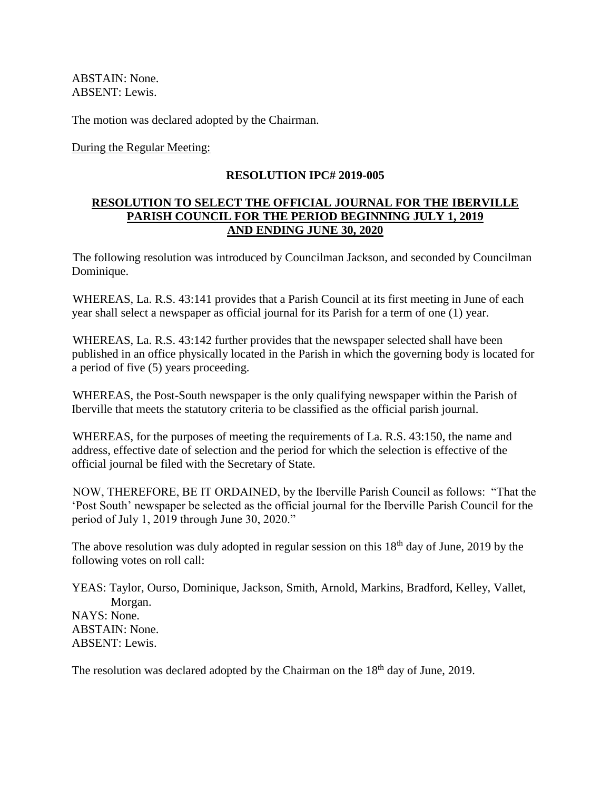ABSTAIN: None. ABSENT: Lewis.

The motion was declared adopted by the Chairman.

During the Regular Meeting:

## **RESOLUTION IPC# 2019-005**

## **RESOLUTION TO SELECT THE OFFICIAL JOURNAL FOR THE IBERVILLE PARISH COUNCIL FOR THE PERIOD BEGINNING JULY 1, 2019 AND ENDING JUNE 30, 2020**

The following resolution was introduced by Councilman Jackson, and seconded by Councilman Dominique.

WHEREAS, La. R.S. 43:141 provides that a Parish Council at its first meeting in June of each year shall select a newspaper as official journal for its Parish for a term of one (1) year.

WHEREAS, La. R.S. 43:142 further provides that the newspaper selected shall have been published in an office physically located in the Parish in which the governing body is located for a period of five (5) years proceeding.

WHEREAS, the Post-South newspaper is the only qualifying newspaper within the Parish of Iberville that meets the statutory criteria to be classified as the official parish journal.

WHEREAS, for the purposes of meeting the requirements of La. R.S. 43:150, the name and address, effective date of selection and the period for which the selection is effective of the official journal be filed with the Secretary of State.

NOW, THEREFORE, BE IT ORDAINED, by the Iberville Parish Council as follows: "That the 'Post South' newspaper be selected as the official journal for the Iberville Parish Council for the period of July 1, 2019 through June 30, 2020."

The above resolution was duly adopted in regular session on this  $18<sup>th</sup>$  day of June, 2019 by the following votes on roll call:

YEAS: Taylor, Ourso, Dominique, Jackson, Smith, Arnold, Markins, Bradford, Kelley, Vallet, Morgan. NAYS: None. ABSTAIN: None. ABSENT: Lewis.

The resolution was declared adopted by the Chairman on the  $18<sup>th</sup>$  day of June, 2019.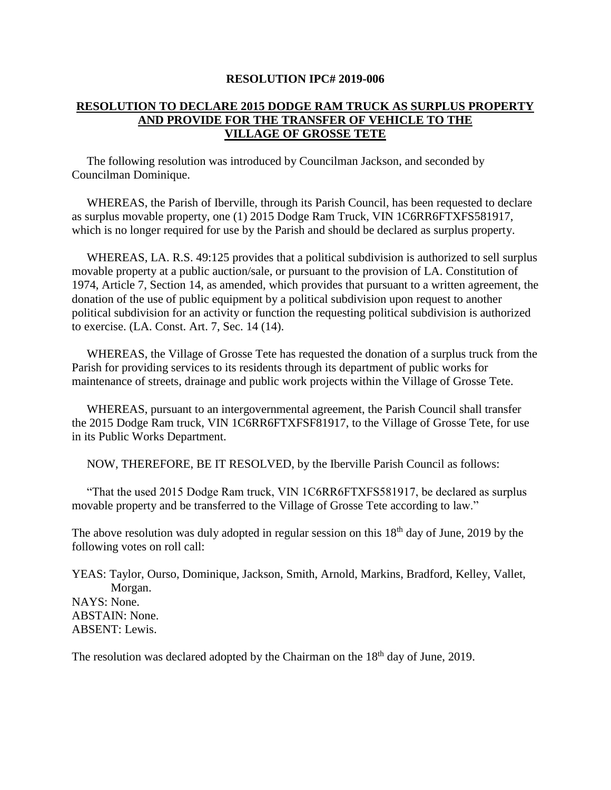#### **RESOLUTION IPC# 2019-006**

# **RESOLUTION TO DECLARE 2015 DODGE RAM TRUCK AS SURPLUS PROPERTY AND PROVIDE FOR THE TRANSFER OF VEHICLE TO THE VILLAGE OF GROSSE TETE**

 The following resolution was introduced by Councilman Jackson, and seconded by Councilman Dominique.

 WHEREAS, the Parish of Iberville, through its Parish Council, has been requested to declare as surplus movable property, one (1) 2015 Dodge Ram Truck, VIN 1C6RR6FTXFS581917, which is no longer required for use by the Parish and should be declared as surplus property.

 WHEREAS, LA. R.S. 49:125 provides that a political subdivision is authorized to sell surplus movable property at a public auction/sale, or pursuant to the provision of LA. Constitution of 1974, Article 7, Section 14, as amended, which provides that pursuant to a written agreement, the donation of the use of public equipment by a political subdivision upon request to another political subdivision for an activity or function the requesting political subdivision is authorized to exercise. (LA. Const. Art. 7, Sec. 14 (14).

 WHEREAS, the Village of Grosse Tete has requested the donation of a surplus truck from the Parish for providing services to its residents through its department of public works for maintenance of streets, drainage and public work projects within the Village of Grosse Tete.

 WHEREAS, pursuant to an intergovernmental agreement, the Parish Council shall transfer the 2015 Dodge Ram truck, VIN 1C6RR6FTXFSF81917, to the Village of Grosse Tete, for use in its Public Works Department.

NOW, THEREFORE, BE IT RESOLVED, by the Iberville Parish Council as follows:

 "That the used 2015 Dodge Ram truck, VIN 1C6RR6FTXFS581917, be declared as surplus movable property and be transferred to the Village of Grosse Tete according to law."

The above resolution was duly adopted in regular session on this  $18<sup>th</sup>$  day of June, 2019 by the following votes on roll call:

YEAS: Taylor, Ourso, Dominique, Jackson, Smith, Arnold, Markins, Bradford, Kelley, Vallet, Morgan. NAYS: None. ABSTAIN: None. ABSENT: Lewis.

The resolution was declared adopted by the Chairman on the  $18<sup>th</sup>$  day of June, 2019.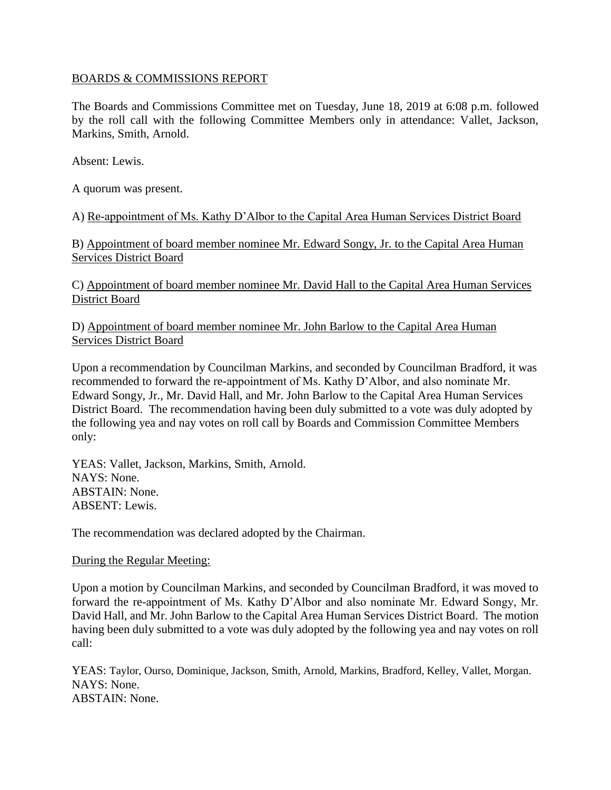## BOARDS & COMMISSIONS REPORT

The Boards and Commissions Committee met on Tuesday, June 18, 2019 at 6:08 p.m. followed by the roll call with the following Committee Members only in attendance: Vallet, Jackson, Markins, Smith, Arnold.

Absent: Lewis.

A quorum was present.

A) Re-appointment of Ms. Kathy D'Albor to the Capital Area Human Services District Board

B) Appointment of board member nominee Mr. Edward Songy, Jr. to the Capital Area Human Services District Board

C) Appointment of board member nominee Mr. David Hall to the Capital Area Human Services District Board

D) Appointment of board member nominee Mr. John Barlow to the Capital Area Human Services District Board

Upon a recommendation by Councilman Markins, and seconded by Councilman Bradford, it was recommended to forward the re-appointment of Ms. Kathy D'Albor, and also nominate Mr. Edward Songy, Jr., Mr. David Hall, and Mr. John Barlow to the Capital Area Human Services District Board. The recommendation having been duly submitted to a vote was duly adopted by the following yea and nay votes on roll call by Boards and Commission Committee Members only:

YEAS: Vallet, Jackson, Markins, Smith, Arnold. NAYS: None. ABSTAIN: None. ABSENT: Lewis.

The recommendation was declared adopted by the Chairman.

### During the Regular Meeting:

Upon a motion by Councilman Markins, and seconded by Councilman Bradford, it was moved to forward the re-appointment of Ms. Kathy D'Albor and also nominate Mr. Edward Songy, Mr. David Hall, and Mr. John Barlow to the Capital Area Human Services District Board. The motion having been duly submitted to a vote was duly adopted by the following yea and nay votes on roll call:

YEAS: Taylor, Ourso, Dominique, Jackson, Smith, Arnold, Markins, Bradford, Kelley, Vallet, Morgan. NAYS: None. ABSTAIN: None.